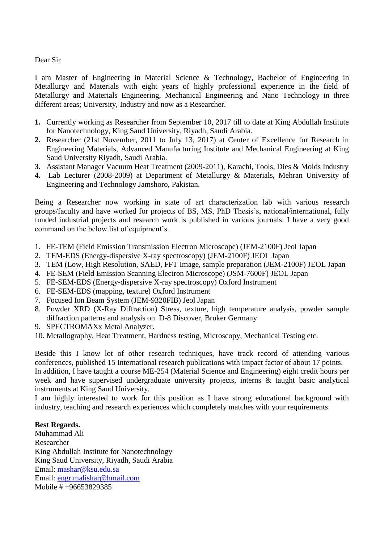## Dear Sir

I am Master of Engineering in Material Science & Technology, Bachelor of Engineering in Metallurgy and Materials with eight years of highly professional experience in the field of Metallurgy and Materials Engineering, Mechanical Engineering and Nano Technology in three different areas; University, Industry and now as a Researcher.

- **1.** Currently working as Researcher from September 10, 2017 till to date at King Abdullah Institute for Nanotechnology, King Saud University, Riyadh, Saudi Arabia.
- **2.** Researcher (21st November, 2011 to July 13, 2017) at Center of Excellence for Research in Engineering Materials, Advanced Manufacturing Institute and Mechanical Engineering at King Saud University Riyadh, Saudi Arabia.
- **3.** Assistant Manager Vacuum Heat Treatment (2009-2011), Karachi, Tools, Dies & Molds Industry
- **4.** Lab Lecturer (2008-2009) at Department of Metallurgy & Materials, Mehran University of Engineering and Technology Jamshoro, Pakistan.

Being a Researcher now working in state of art characterization lab with various research groups/faculty and have worked for projects of BS, MS, PhD Thesis's, national/international, fully funded industrial projects and research work is published in various journals. I have a very good command on the below list of equipment's.

- 1. FE-TEM (Field Emission Transmission Electron Microscope) (JEM-2100F) Jeol Japan
- 2. TEM-EDS (Energy-dispersive X-ray spectroscopy) (JEM-2100F) JEOL Japan
- 3. TEM (Low, High Resolution, SAED, FFT Image, sample preparation (JEM-2100F) JEOL Japan
- 4. FE-SEM (Field Emission Scanning Electron Microscope) (JSM-7600F) JEOL Japan
- 5. FE-SEM-EDS (Energy-dispersive X-ray spectroscopy) Oxford Instrument
- 6. FE-SEM-EDS (mapping, texture) Oxford Instrument
- 7. Focused Ion Beam System (JEM-9320FIB) Jeol Japan
- 8. Powder XRD (X-Ray Diffraction) Stress, texture, high temperature analysis, powder sample diffraction patterns and analysis on D-8 Discover, Bruker Germany
- 9. SPECTROMAXx Metal Analyzer.
- 10. Metallography, Heat Treatment, Hardness testing, Microscopy, Mechanical Testing etc.

Beside this I know lot of other research techniques, have track record of attending various conferences, published 15 International research publications with impact factor of about 17 points. In addition, I have taught a course ME-254 (Material Science and Engineering) eight credit hours per week and have supervised undergraduate university projects, interns & taught basic analytical instruments at King Saud University.

I am highly interested to work for this position as I have strong educational background with industry, teaching and research experiences which completely matches with your requirements.

## **Best Regards.**

Muhammad Ali Researcher King Abdullah Institute for Nanotechnology King Saud University, Riyadh, Saudi Arabia Email: [mashar@ksu.edu.sa](mailto:mashar@ksu.edu.sa) Email: [engr.malishar@hmail.com](mailto:engr.malishar@hmail.com) Mobile # +96653829385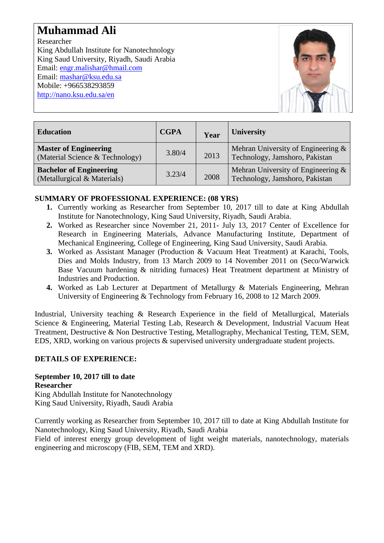# **Muhammad Ali**

Researcher King Abdullah Institute for Nanotechnology King Saud University, Riyadh, Saudi Arabia Email: [engr.malishar@hmail.com](mailto:engr.malishar@hmail.com) Email: [mashar@ksu.edu.sa](mailto:mashar@ksu.edu.sa) Mobile: +966538293859 <http://nano.ksu.edu.sa/en>



| <b>Education</b>                                                | <b>CGPA</b> | Year | <b>University</b>                                                    |
|-----------------------------------------------------------------|-------------|------|----------------------------------------------------------------------|
| <b>Master of Engineering</b><br>(Material Science & Technology) | 3.80/4      | 2013 | Mehran University of Engineering &<br>Technology, Jamshoro, Pakistan |
| <b>Bachelor of Engineering</b><br>(Metallurgical & Materials)   | 3.23/4      | 2008 | Mehran University of Engineering &<br>Technology, Jamshoro, Pakistan |

# **SUMMARY OF PROFESSIONAL EXPERIENCE: (08 YRS)**

- **1.** Currently working as Researcher from September 10, 2017 till to date at King Abdullah Institute for Nanotechnology, King Saud University, Riyadh, Saudi Arabia.
- **2.** Worked as Researcher since November 21, 2011- July 13, 2017 Center of Excellence for Research in Engineering Materials, Advance Manufacturing Institute, Department of Mechanical Engineering, College of Engineering, King Saud University, Saudi Arabia.
- **3.** Worked as Assistant Manager (Production & Vacuum Heat Treatment) at Karachi, Tools, Dies and Molds Industry, from 13 March 2009 to 14 November 2011 on (Seco/Warwick Base Vacuum hardening & nitriding furnaces) Heat Treatment department at Ministry of Industries and Production.
- **4.** Worked as Lab Lecturer at Department of Metallurgy & Materials Engineering, Mehran University of Engineering & Technology from February 16, 2008 to 12 March 2009.

Industrial, University teaching & Research Experience in the field of Metallurgical, Materials Science & Engineering, Material Testing Lab, Research & Development, Industrial Vacuum Heat Treatment, Destructive & Non Destructive Testing, Metallography, Mechanical Testing, TEM, SEM, EDS, XRD, working on various projects & supervised university undergraduate student projects.

# **DETAILS OF EXPERIENCE:**

#### **September 10, 2017 till to date Researcher**

King Abdullah Institute for Nanotechnology King Saud University, Riyadh, Saudi Arabia

Currently working as Researcher from September 10, 2017 till to date at King Abdullah Institute for Nanotechnology, King Saud University, Riyadh, Saudi Arabia

Field of interest energy group development of light weight materials, nanotechnology, materials engineering and microscopy (FIB, SEM, TEM and XRD).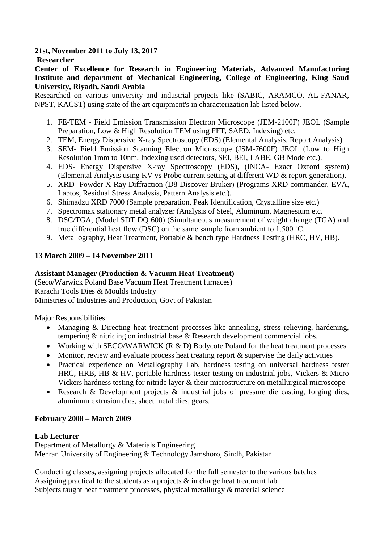#### **21st, November 2011 to July 13, 2017 Researcher**

**Center of Excellence for Research in Engineering Materials, Advanced Manufacturing Institute and department of Mechanical Engineering, College of Engineering, King Saud University, Riyadh, Saudi Arabia**

Researched on various university and industrial projects like (SABIC, ARAMCO, AL-FANAR, NPST, KACST) using state of the art equipment's in characterization lab listed below.

- 1. FE-TEM Field Emission Transmission Electron Microscope (JEM-2100F) JEOL (Sample Preparation, Low & High Resolution TEM using FFT, SAED, Indexing) etc.
- 2. TEM, Energy Dispersive X-ray Spectroscopy (EDS) (Elemental Analysis, Report Analysis)
- 3. SEM- Field Emission Scanning Electron Microscope (JSM-7600F) JEOL (Low to High Resolution 1mm to 10nm, Indexing used detectors, SEI, BEI, LABE, GB Mode etc.).
- 4. EDS- Energy Dispersive X-ray Spectroscopy (EDS), (INCA- Exact Oxford system) (Elemental Analysis using KV vs Probe current setting at different WD & report generation).
- 5. XRD- Powder X-Ray Diffraction (D8 Discover Bruker) (Programs XRD commander, EVA, Laptos, Residual Stress Analysis, Pattern Analysis etc.).
- 6. Shimadzu XRD 7000 (Sample preparation, Peak Identification, Crystalline size etc.)
- 7. Spectromax stationary metal analyzer (Analysis of Steel, Aluminum, Magnesium etc.
- 8. DSC/TGA, (Model SDT DQ 600) (Simultaneous measurement of weight change (TGA) and true differential heat flow (DSC) on the same sample from ambient to 1,500 ˚C.
- 9. Metallography, Heat Treatment, Portable & bench type Hardness Testing (HRC, HV, HB).

# **13 March 2009 – 14 November 2011**

# **Assistant Manager (Production & Vacuum Heat Treatment)**

(Seco/Warwick Poland Base Vacuum Heat Treatment furnaces) Karachi Tools Dies & Moulds Industry Ministries of Industries and Production, Govt of Pakistan

Major Responsibilities:

- Managing & Directing heat treatment processes like annealing, stress relieving, hardening, tempering & nitriding on industrial base & Research development commercial jobs.
- Working with SECO/WARWICK ( $R \& D$ ) Bodycote Poland for the heat treatment processes
- Monitor, review and evaluate process heat treating report  $\&$  supervise the daily activities
- Practical experience on Metallography Lab, hardness testing on universal hardness tester HRC, HRB, HB & HV, portable hardness tester testing on industrial jobs, Vickers & Micro Vickers hardness testing for nitride layer & their microstructure on metallurgical microscope
- Research & Development projects & industrial jobs of pressure die casting, forging dies, aluminum extrusion dies, sheet metal dies, gears.

## **February 2008 – March 2009**

## **Lab Lecturer**

Department of Metallurgy & Materials Engineering Mehran University of Engineering & Technology Jamshoro, Sindh, Pakistan

Conducting classes, assigning projects allocated for the full semester to the various batches Assigning practical to the students as a projects  $\&$  in charge heat treatment lab Subjects taught heat treatment processes, physical metallurgy & material science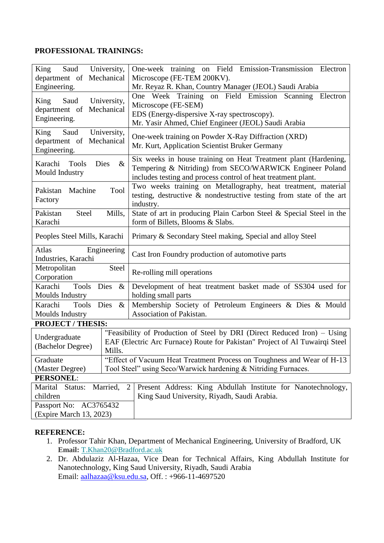# **PROFESSIONAL TRAININGS:**

| King<br>Saud<br>University,<br>department of Mechanical                                                                                                                                                 |                                                                                                                                                                                                      | One-week training on Field Emission-Transmission Electron<br>Microscope (FE-TEM 200KV).                                                                                                                                                         |  |  |  |
|---------------------------------------------------------------------------------------------------------------------------------------------------------------------------------------------------------|------------------------------------------------------------------------------------------------------------------------------------------------------------------------------------------------------|-------------------------------------------------------------------------------------------------------------------------------------------------------------------------------------------------------------------------------------------------|--|--|--|
| Engineering.<br>Saud<br>University,<br>King<br>department of Mechanical<br>Engineering.                                                                                                                 |                                                                                                                                                                                                      | Mr. Reyaz R. Khan, Country Manager (JEOL) Saudi Arabia<br>One Week Training on Field Emission Scanning<br>Electron<br>Microscope (FE-SEM)<br>EDS (Energy-dispersive X-ray spectroscopy).<br>Mr. Yasir Ahmed, Chief Engineer (JEOL) Saudi Arabia |  |  |  |
| University,<br>Saud<br>King<br>department of Mechanical<br>Engineering.                                                                                                                                 |                                                                                                                                                                                                      | One-week training on Powder X-Ray Diffraction (XRD)<br>Mr. Kurt, Application Scientist Bruker Germany                                                                                                                                           |  |  |  |
| <b>Tools</b><br>Dies<br>Karachi<br>Mould Industry                                                                                                                                                       | Six weeks in house training on Heat Treatment plant (Hardening,<br>$\&$<br>Tempering & Nitriding) from SECO/WARWICK Engineer Poland<br>includes testing and process control of heat treatment plant. |                                                                                                                                                                                                                                                 |  |  |  |
| Pakistan<br>Machine<br>Factory                                                                                                                                                                          | Two weeks training on Metallography, heat treatment, material<br>Tool<br>testing, destructive & nondestructive testing from state of the art<br>industry.                                            |                                                                                                                                                                                                                                                 |  |  |  |
| Pakistan<br><b>Steel</b><br>Karachi                                                                                                                                                                     | Mills,                                                                                                                                                                                               | State of art in producing Plain Carbon Steel & Special Steel in the<br>form of Billets, Blooms & Slabs.                                                                                                                                         |  |  |  |
| Peoples Steel Mills, Karachi                                                                                                                                                                            |                                                                                                                                                                                                      | Primary & Secondary Steel making, Special and alloy Steel                                                                                                                                                                                       |  |  |  |
| Atlas<br>Engineering<br>Industries, Karachi                                                                                                                                                             |                                                                                                                                                                                                      | Cast Iron Foundry production of automotive parts                                                                                                                                                                                                |  |  |  |
| <b>Steel</b><br>Metropolitan<br>Corporation                                                                                                                                                             |                                                                                                                                                                                                      | Re-rolling mill operations                                                                                                                                                                                                                      |  |  |  |
| <b>Tools</b><br>Karachi<br>Dies<br>$\&$<br>Moulds Industry<br>holding small parts                                                                                                                       |                                                                                                                                                                                                      | Development of heat treatment basket made of SS304 used for                                                                                                                                                                                     |  |  |  |
| Karachi<br>Dies<br><b>Tools</b><br>$\&$<br>Moulds Industry                                                                                                                                              |                                                                                                                                                                                                      | Membership Society of Petroleum Engineers & Dies & Mould<br>Association of Pakistan.                                                                                                                                                            |  |  |  |
| <b>PROJECT / THESIS:</b>                                                                                                                                                                                |                                                                                                                                                                                                      |                                                                                                                                                                                                                                                 |  |  |  |
| "Feasibility of Production of Steel by DRI (Direct Reduced Iron) - Using<br>Undergraduate<br>EAF (Electric Arc Furnace) Route for Pakistan" Project of Al Tuwairqi Steel<br>(Bachelor Degree)<br>Mills. |                                                                                                                                                                                                      |                                                                                                                                                                                                                                                 |  |  |  |
| "Effect of Vacuum Heat Treatment Process on Toughness and Wear of H-13<br>Graduate                                                                                                                      |                                                                                                                                                                                                      |                                                                                                                                                                                                                                                 |  |  |  |
| Tool Steel" using Seco/Warwick hardening & Nitriding Furnaces.<br>(Master Degree)                                                                                                                       |                                                                                                                                                                                                      |                                                                                                                                                                                                                                                 |  |  |  |
| <b>PERSONEL:</b>                                                                                                                                                                                        |                                                                                                                                                                                                      |                                                                                                                                                                                                                                                 |  |  |  |
| Marital<br>Married,<br>Status:<br>children                                                                                                                                                              | 2                                                                                                                                                                                                    | Present Address: King Abdullah Institute for Nanotechnology,<br>King Saud University, Riyadh, Saudi Arabia.                                                                                                                                     |  |  |  |
| Passport No: AC3765432<br>(Expire March 13, 2023)                                                                                                                                                       |                                                                                                                                                                                                      |                                                                                                                                                                                                                                                 |  |  |  |
|                                                                                                                                                                                                         |                                                                                                                                                                                                      |                                                                                                                                                                                                                                                 |  |  |  |

## **REFERENCE:**

- 1. Professor Tahir Khan, Department of Mechanical Engineering, University of Bradford, UK **Email:** [T.Khan20@Bradford.ac.uk](mailto:T.Khan20@Bradford.ac.uk)
- 2. Dr. Abdulaziz Al-Hazaa, Vice Dean for Technical Affairs, King Abdullah Institute for Nanotechnology, King Saud University, Riyadh, Saudi Arabia Email: [aalhazaa@ksu.edu.sa,](mailto:aalhazaa@ksu.edu.sa) Off. : +966-11-4697520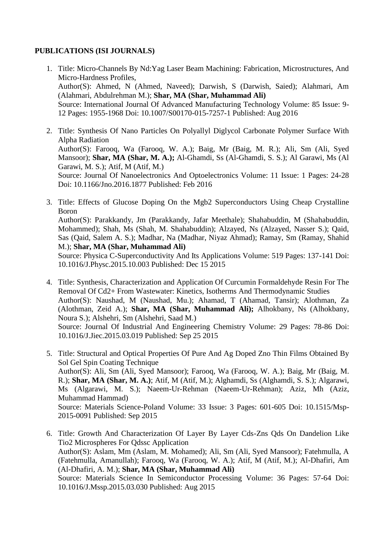## **PUBLICATIONS (ISI JOURNALS)**

- 1. Title: Micro-Channels By Nd:Yag Laser Beam Machining: Fabrication, Microstructures, And Micro-Hardness Profiles, Author(S): Ahmed, N (Ahmed, Naveed); Darwish, S (Darwish, Saied); Alahmari, Am (Alahmari, Abdulrehman M.); **Shar, MA (Shar, Muhammad Ali)** Source: International Journal Of Advanced Manufacturing Technology Volume: 85 Issue: 9- 12 Pages: 1955-1968 Doi: 10.1007/S00170-015-7257-1 Published: Aug 2016
- 2. Title: Synthesis Of Nano Particles On Polyallyl Diglycol Carbonate Polymer Surface With Alpha Radiation Author(S): Farooq, Wa (Farooq, W. A.); Baig, Mr (Baig, M. R.); Ali, Sm (Ali, Syed Mansoor); **Shar, MA (Shar, M. A.);** Al-Ghamdi, Ss (Al-Ghamdi, S. S.); Al Garawi, Ms (Al Garawi, M. S.); Atif, M (Atif, M.) Source: Journal Of Nanoelectronics And Optoelectronics Volume: 11 Issue: 1 Pages: 24-28 Doi: 10.1166/Jno.2016.1877 Published: Feb 2016
- 3. Title: Effects of Glucose Doping On the Mgb2 Superconductors Using Cheap Crystalline Boron Author(S): Parakkandy, Jm (Parakkandy, Jafar Meethale); Shahabuddin, M (Shahabuddin, Mohammed); Shah, Ms (Shah, M. Shahabuddin); Alzayed, Ns (Alzayed, Nasser S.); Qaid, Sas (Qaid, Salem A. S.); Madhar, Na (Madhar, Niyaz Ahmad); Ramay, Sm (Ramay, Shahid M.); **Shar, MA (Shar, Muhammad Ali)** Source: Physica C-Superconductivity And Its Applications Volume: 519 Pages: 137-141 Doi: 10.1016/J.Physc.2015.10.003 Published: Dec 15 2015
- 4. Title: Synthesis, Characterization and Application Of Curcumin Formaldehyde Resin For The Removal Of Cd2+ From Wastewater: Kinetics, Isotherms And Thermodynamic Studies Author(S): Naushad, M (Naushad, Mu.); Ahamad, T (Ahamad, Tansir); Alothman, Za (Alothman, Zeid A.); **Shar, MA (Shar, Muhammad Ali);** Alhokbany, Ns (Alhokbany, Noura S.); Alshehri, Sm (Alshehri, Saad M.) Source: Journal Of Industrial And Engineering Chemistry Volume: 29 Pages: 78-86 Doi: 10.1016/J.Jiec.2015.03.019 Published: Sep 25 2015
- 5. Title: Structural and Optical Properties Of Pure And Ag Doped Zno Thin Films Obtained By Sol Gel Spin Coating Technique Author(S): Ali, Sm (Ali, Syed Mansoor); Farooq, Wa (Farooq, W. A.); Baig, Mr (Baig, M. R.); **Shar, MA (Shar, M. A.)**; Atif, M (Atif, M.); Alghamdi, Ss (Alghamdi, S. S.); Algarawi, Ms (Algarawi, M. S.); Naeem-Ur-Rehman (Naeem-Ur-Rehman); Aziz, Mh (Aziz, Muhammad Hammad) Source: Materials Science-Poland Volume: 33 Issue: 3 Pages: 601-605 Doi: 10.1515/Msp-2015-0091 Published: Sep 2015
- 6. Title: Growth And Characterization Of Layer By Layer Cds-Zns Qds On Dandelion Like Tio2 Microspheres For Qdssc Application Author(S): Aslam, Mm (Aslam, M. Mohamed); Ali, Sm (Ali, Syed Mansoor); Fatehmulla, A (Fatehmulla, Amanullah); Farooq, Wa (Farooq, W. A.); Atif, M (Atif, M.); Al-Dhafiri, Am (Al-Dhafiri, A. M.); **Shar, MA (Shar, Muhammad Ali)** Source: Materials Science In Semiconductor Processing Volume: 36 Pages: 57-64 Doi: 10.1016/J.Mssp.2015.03.030 Published: Aug 2015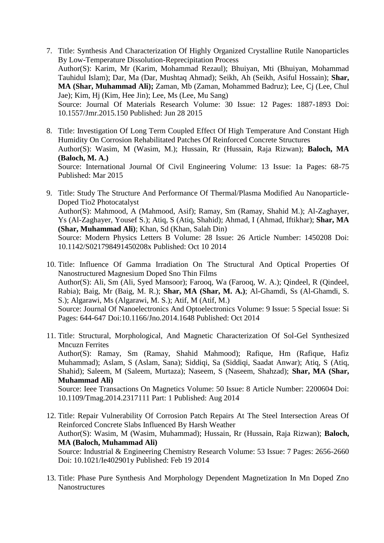- 7. Title: Synthesis And Characterization Of Highly Organized Crystalline Rutile Nanoparticles By Low-Temperature Dissolution-Reprecipitation Process Author(S): Karim, Mr (Karim, Mohammad Rezaul); Bhuiyan, Mti (Bhuiyan, Mohammad Tauhidul Islam); Dar, Ma (Dar, Mushtaq Ahmad); Seikh, Ah (Seikh, Asiful Hossain); **Shar, MA (Shar, Muhammad Ali);** Zaman, Mb (Zaman, Mohammed Badruz); Lee, Cj (Lee, Chul Jae); Kim, Hj (Kim, Hee Jin); Lee, Ms (Lee, Mu Sang) Source: Journal Of Materials Research Volume: 30 Issue: 12 Pages: 1887-1893 Doi: 10.1557/Jmr.2015.150 Published: Jun 28 2015
- 8. Title: Investigation Of Long Term Coupled Effect Of High Temperature And Constant High Humidity On Corrosion Rehabilitated Patches Of Reinforced Concrete Structures Author(S): Wasim, M (Wasim, M.); Hussain, Rr (Hussain, Raja Rizwan); **Baloch, MA (Baloch, M. A.)** Source: International Journal Of Civil Engineering Volume: 13 Issue: 1a Pages: 68-75 Published: Mar 2015
- 9. Title: Study The Structure And Performance Of Thermal/Plasma Modified Au Nanoparticle-Doped Tio2 Photocatalyst Author(S): Mahmood, A (Mahmood, Asif); Ramay, Sm (Ramay, Shahid M.); Al-Zaghayer, Ys (Al-Zaghayer, Yousef S.); Atiq, S (Atiq, Shahid); Ahmad, I (Ahmad, Iftikhar); **Shar, MA (Shar, Muhammad Ali)**; Khan, Sd (Khan, Salah Din) Source: Modern Physics Letters B Volume: 28 Issue: 26 Article Number: 1450208 Doi: 10.1142/S021798491450208x Published: Oct 10 2014
- 10. Title: Influence Of Gamma Irradiation On The Structural And Optical Properties Of Nanostructured Magnesium Doped Sno Thin Films Author(S): Ali, Sm (Ali, Syed Mansoor); Farooq, Wa (Farooq, W. A.); Qindeel, R (Qindeel, Rabia); Baig, Mr (Baig, M. R.); **Shar, MA (Shar, M. A.)**; Al-Ghamdi, Ss (Al-Ghamdi, S. S.); Algarawi, Ms (Algarawi, M. S.); Atif, M (Atif, M.) Source: Journal Of Nanoelectronics And Optoelectronics Volume: 9 Issue: 5 Special Issue: Si Pages: 644-647 Doi:10.1166/Jno.2014.1648 Published: Oct 2014
- 11. Title: Structural, Morphological, And Magnetic Characterization Of Sol-Gel Synthesized Mncuzn Ferrites Author(S): Ramay, Sm (Ramay, Shahid Mahmood); Rafique, Hm (Rafique, Hafiz Muhammad); Aslam, S (Aslam, Sana); Siddiqi, Sa (Siddiqi, Saadat Anwar); Atiq, S (Atiq, Shahid); Saleem, M (Saleem, Murtaza); Naseem, S (Naseem, Shahzad); **Shar, MA (Shar, Muhammad Ali)** Source: Ieee Transactions On Magnetics Volume: 50 Issue: 8 Article Number: 2200604 Doi: 10.1109/Tmag.2014.2317111 Part: 1 Published: Aug 2014
- 12. Title: Repair Vulnerability Of Corrosion Patch Repairs At The Steel Intersection Areas Of Reinforced Concrete Slabs Influenced By Harsh Weather Author(S): Wasim, M (Wasim, Muhammad); Hussain, Rr (Hussain, Raja Rizwan); **Baloch, MA (Baloch, Muhammad Ali)** Source: Industrial & Engineering Chemistry Research Volume: 53 Issue: 7 Pages: 2656-2660 Doi: 10.1021/Ie402901y Published: Feb 19 2014
- 13. Title: Phase Pure Synthesis And Morphology Dependent Magnetization In Mn Doped Zno Nanostructures